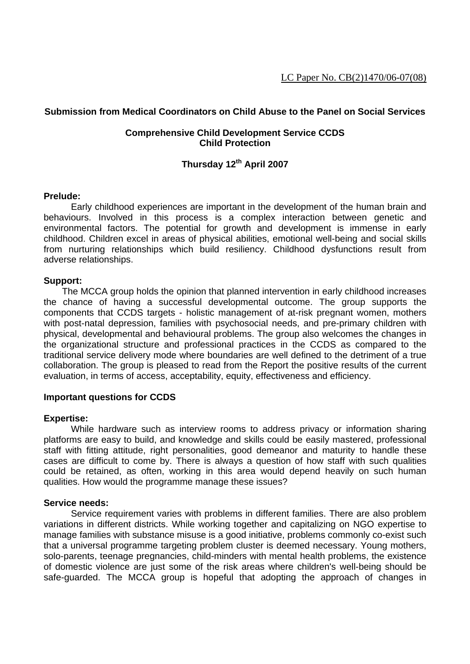# **Submission from Medical Coordinators on Child Abuse to the Panel on Social Services**

# **Comprehensive Child Development Service CCDS Child Protection**

# **Thursday 12th April 2007**

## **Prelude:**

 Early childhood experiences are important in the development of the human brain and behaviours. Involved in this process is a complex interaction between genetic and environmental factors. The potential for growth and development is immense in early childhood. Children excel in areas of physical abilities, emotional well-being and social skills from nurturing relationships which build resiliency. Childhood dysfunctions result from adverse relationships.

## **Support:**

 The MCCA group holds the opinion that planned intervention in early childhood increases the chance of having a successful developmental outcome. The group supports the components that CCDS targets - holistic management of at-risk pregnant women, mothers with post-natal depression, families with psychosocial needs, and pre-primary children with physical, developmental and behavioural problems. The group also welcomes the changes in the organizational structure and professional practices in the CCDS as compared to the traditional service delivery mode where boundaries are well defined to the detriment of a true collaboration. The group is pleased to read from the Report the positive results of the current evaluation, in terms of access, acceptability, equity, effectiveness and efficiency.

## **Important questions for CCDS**

#### **Expertise:**

 While hardware such as interview rooms to address privacy or information sharing platforms are easy to build, and knowledge and skills could be easily mastered, professional staff with fitting attitude, right personalities, good demeanor and maturity to handle these cases are difficult to come by. There is always a question of how staff with such qualities could be retained, as often, working in this area would depend heavily on such human qualities. How would the programme manage these issues?

#### **Service needs:**

 Service requirement varies with problems in different families. There are also problem variations in different districts. While working together and capitalizing on NGO expertise to manage families with substance misuse is a good initiative, problems commonly co-exist such that a universal programme targeting problem cluster is deemed necessary. Young mothers, solo-parents, teenage pregnancies, child-minders with mental health problems, the existence of domestic violence are just some of the risk areas where children's well-being should be safe-guarded. The MCCA group is hopeful that adopting the approach of changes in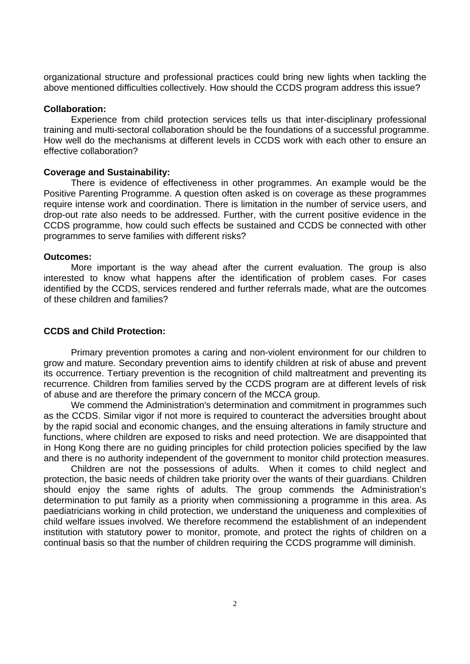organizational structure and professional practices could bring new lights when tackling the above mentioned difficulties collectively. How should the CCDS program address this issue?

#### **Collaboration:**

 Experience from child protection services tells us that inter-disciplinary professional training and multi-sectoral collaboration should be the foundations of a successful programme. How well do the mechanisms at different levels in CCDS work with each other to ensure an effective collaboration?

#### **Coverage and Sustainability:**

 There is evidence of effectiveness in other programmes. An example would be the Positive Parenting Programme. A question often asked is on coverage as these programmes require intense work and coordination. There is limitation in the number of service users, and drop-out rate also needs to be addressed. Further, with the current positive evidence in the CCDS programme, how could such effects be sustained and CCDS be connected with other programmes to serve families with different risks?

#### **Outcomes:**

 More important is the way ahead after the current evaluation. The group is also interested to know what happens after the identification of problem cases. For cases identified by the CCDS, services rendered and further referrals made, what are the outcomes of these children and families?

### **CCDS and Child Protection:**

 Primary prevention promotes a caring and non-violent environment for our children to grow and mature. Secondary prevention aims to identify children at risk of abuse and prevent its occurrence. Tertiary prevention is the recognition of child maltreatment and preventing its recurrence. Children from families served by the CCDS program are at different levels of risk of abuse and are therefore the primary concern of the MCCA group.

 We commend the Administration's determination and commitment in programmes such as the CCDS. Similar vigor if not more is required to counteract the adversities brought about by the rapid social and economic changes, and the ensuing alterations in family structure and functions, where children are exposed to risks and need protection. We are disappointed that in Hong Kong there are no guiding principles for child protection policies specified by the law and there is no authority independent of the government to monitor child protection measures.

 Children are not the possessions of adults. When it comes to child neglect and protection, the basic needs of children take priority over the wants of their guardians. Children should enjoy the same rights of adults. The group commends the Administration's determination to put family as a priority when commissioning a programme in this area. As paediatricians working in child protection, we understand the uniqueness and complexities of child welfare issues involved. We therefore recommend the establishment of an independent institution with statutory power to monitor, promote, and protect the rights of children on a continual basis so that the number of children requiring the CCDS programme will diminish.